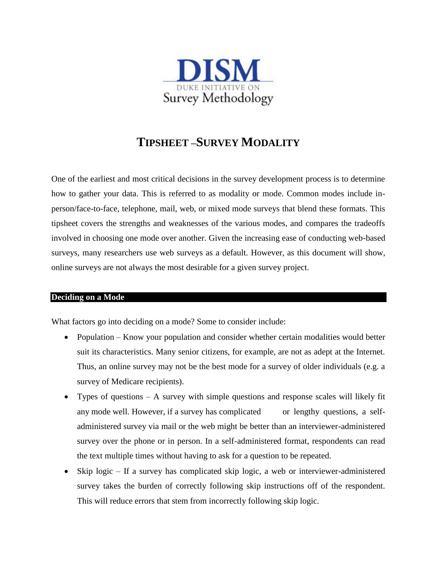

# **TIPSHEET –SURVEY MODALITY**

One of the earliest and most critical decisions in the survey development process is to determine how to gather your data. This is referred to as modality or mode. Common modes include inperson/face-to-face, telephone, mail, web, or mixed mode surveys that blend these formats. This tipsheet covers the strengths and weaknesses of the various modes, and compares the tradeoffs involved in choosing one mode over another. Given the increasing ease of conducting web-based surveys, many researchers use web surveys as a default. However, as this document will show, online surveys are not always the most desirable for a given survey project.

#### **Deciding on a Mode**

What factors go into deciding on a mode? Some to consider include:

- Population Know your population and consider whether certain modalities would better suit its characteristics. Many senior citizens, for example, are not as adept at the Internet. Thus, an online survey may not be the best mode for a survey of older individuals (e.g. a survey of Medicare recipients).
- Types of questions A survey with simple questions and response scales will likely fit any mode well. However, if a survey has complicated or lengthy questions, a selfadministered survey via mail or the web might be better than an interviewer-administered survey over the phone or in person. In a self-administered format, respondents can read the text multiple times without having to ask for a question to be repeated.
- Skip logic If a survey has complicated skip logic, a web or interviewer-administered survey takes the burden of correctly following skip instructions off of the respondent. This will reduce errors that stem from incorrectly following skip logic.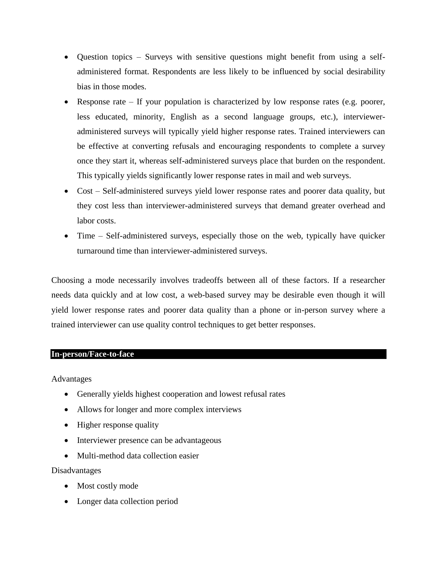- Question topics Surveys with sensitive questions might benefit from using a selfadministered format. Respondents are less likely to be influenced by social desirability bias in those modes.
- Response rate If your population is characterized by low response rates (e.g. poorer, less educated, minority, English as a second language groups, etc.), intervieweradministered surveys will typically yield higher response rates. Trained interviewers can be effective at converting refusals and encouraging respondents to complete a survey once they start it, whereas self-administered surveys place that burden on the respondent. This typically yields significantly lower response rates in mail and web surveys.
- Cost Self-administered surveys yield lower response rates and poorer data quality, but they cost less than interviewer-administered surveys that demand greater overhead and labor costs.
- Time Self-administered surveys, especially those on the web, typically have quicker turnaround time than interviewer-administered surveys.

Choosing a mode necessarily involves tradeoffs between all of these factors. If a researcher needs data quickly and at low cost, a web-based survey may be desirable even though it will yield lower response rates and poorer data quality than a phone or in-person survey where a trained interviewer can use quality control techniques to get better responses.

### **In-person/Face-to-face**

Advantages

- Generally yields highest cooperation and lowest refusal rates
- Allows for longer and more complex interviews
- Higher response quality
- Interviewer presence can be advantageous
- Multi-method data collection easier

Disadvantages

- Most costly mode
- Longer data collection period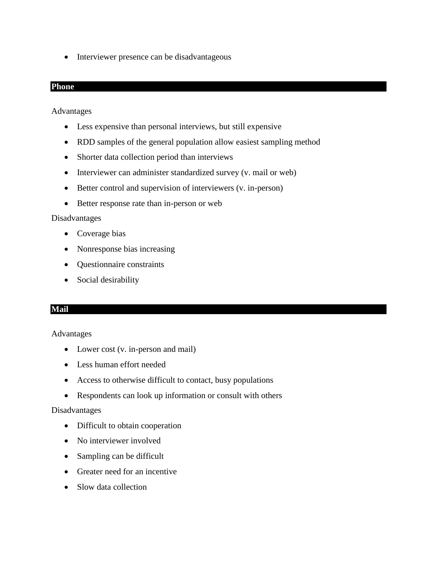• Interviewer presence can be disadvantageous

#### **Phone**

Advantages

- Less expensive than personal interviews, but still expensive
- RDD samples of the general population allow easiest sampling method
- Shorter data collection period than interviews
- Interviewer can administer standardized survey (v. mail or web)
- Better control and supervision of interviewers (v. in-person)
- Better response rate than in-person or web

#### Disadvantages

- Coverage bias
- Nonresponse bias increasing
- Questionnaire constraints
- Social desirability

#### **Mail**

Advantages

- Lower cost (v. in-person and mail)
- Less human effort needed
- Access to otherwise difficult to contact, busy populations
- Respondents can look up information or consult with others

## Disadvantages

- Difficult to obtain cooperation
- No interviewer involved
- Sampling can be difficult
- Greater need for an incentive
- Slow data collection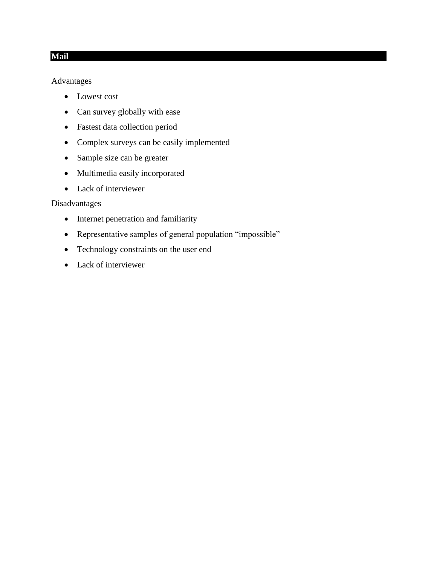# **Mail**

Advantages

- Lowest cost
- Can survey globally with ease
- Fastest data collection period
- Complex surveys can be easily implemented
- Sample size can be greater
- Multimedia easily incorporated
- Lack of interviewer

### Disadvantages

- Internet penetration and familiarity
- Representative samples of general population "impossible"
- Technology constraints on the user end
- Lack of interviewer